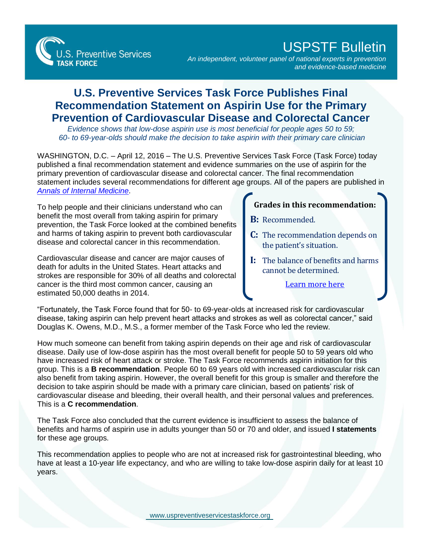

## USPSTF Bulletin

*An independent, volunteer panel of national experts in prevention and evidence-based medicine*

## **U.S. Preventive Services Task Force Publishes Final Recommendation Statement on Aspirin Use for the Primary Prevention of Cardiovascular Disease and Colorectal Cancer**

*Evidence shows that low-dose aspirin use is most beneficial for people ages 50 to 59; 60- to 69-year-olds should make the decision to take aspirin with their primary care clinician*

WASHINGTON, D.C. - April 12, 2016 - The U.S. Preventive Services Task Force (Task Force) today published a final recommendation statement and evidence summaries on the use of aspirin for the primary prevention of cardiovascular disease and colorectal cancer. The final recommendation statement includes several recommendations for different age groups. All of the papers are published in *[Annals of Internal Medicine](http://www.annals.org/article.aspx?doi=10.7326/M16-0577)*.

To help people and their clinicians understand who can benefit the most overall from taking aspirin for primary prevention, the Task Force looked at the combined benefits and harms of taking aspirin to prevent both cardiovascular disease and colorectal cancer in this recommendation.

Cardiovascular disease and cancer are major causes of death for adults in the United States. Heart attacks and strokes are responsible for 30% of all deaths and colorectal cancer is the third most common cancer, causing an estimated 50,000 deaths in 2014.

## **Grades in this recommendation:**

- **B:** Recommended.
- **C:** The recommendation depends on the patient's situation.
- **I:** The balance of benefits and harms cannot be determined.

[Learn more here](http://www.uspreventiveservicestaskforce.org/Page/Name/grade-definitions)

"Fortunately, the Task Force found that for 50- to 69-year-olds at increased risk for cardiovascular disease, taking aspirin can help prevent heart attacks and strokes as well as colorectal cancer," said Douglas K. Owens, M.D., M.S., a former member of the Task Force who led the review.

How much someone can benefit from taking aspirin depends on their age and risk of cardiovascular disease. Daily use of low-dose aspirin has the most overall benefit for people 50 to 59 years old who have increased risk of heart attack or stroke. The Task Force recommends aspirin initiation for this group. This is a **B recommendation**. People 60 to 69 years old with increased cardiovascular risk can also benefit from taking aspirin. However, the overall benefit for this group is smaller and therefore the decision to take aspirin should be made with a primary care clinician, based on patients' risk of cardiovascular disease and bleeding, their overall health, and their personal values and preferences. This is a **C recommendation**.

The Task Force also concluded that the current evidence is insufficient to assess the balance of benefits and harms of aspirin use in adults younger than 50 or 70 and older, and issued **I statements**  for these age groups.

This recommendation applies to people who are not at increased risk for gastrointestinal bleeding, who have at least a 10-year life expectancy, and who are willing to take low-dose aspirin daily for at least 10 years.